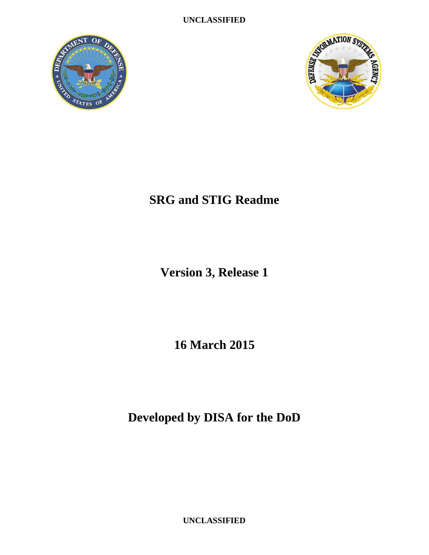**UNCLASSIFIED**





## **SRG and STIG Readme**

**Version 3, Release 1**

**16 March 2015**

**Developed by DISA for the DoD**

**UNCLASSIFIED**